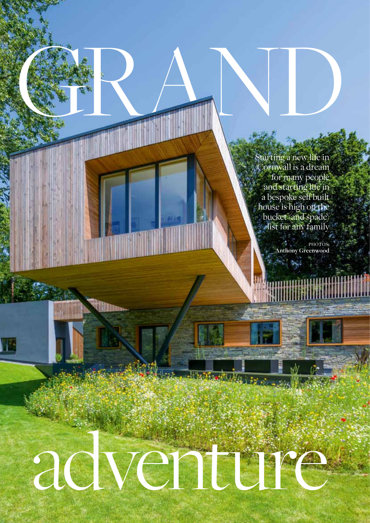Starting a new life in Cornwall is a dream for many people and starting life in a bespoke self built house is high on the bucket (and spade) list for any family

> PHOTOS: **Anthony Greenwood**. Ayd

> > أيملط

**INDUS** 

26 Cornwall Life: January 2020

## adventure

unit in This and

GRAND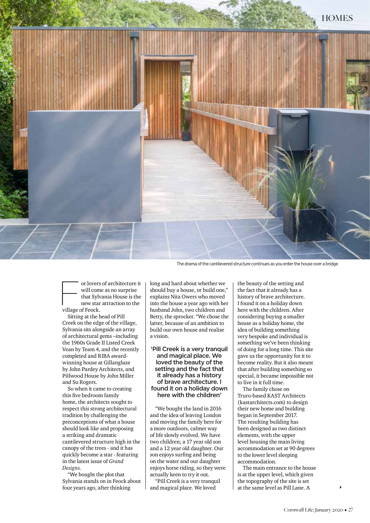

The drama of the cantilevered structure continues as you enter the house over a bridge

or lovers of architecture it<br>will come as no surprise<br>that Sylvania House is the<br>new star attraction to the<br>village of Feock will come as no surprise that Sylvania House is the new star attraction to the village of Feock.

Sitting at the head of Pill Creek on the edge of the village, Sylvania sits alongside an array of architectural gems –including the 1960s Grade II Listed Creek Vean by Team 4, and the recently completed and RIBA awardwinning house at Gillanglaze by John Pardey Architects, and Pillwood House by John Miller and Su Rogers.

So when it came to creating this five bedroom family home, the architects sought to respect this strong architectural tradition by challenging the preconceptions of what a house should look like and proposing a striking and dramatic cantilevered structure high in the canopy of the trees - and it has quickly become a star - featuring in the latest issue of *Grand Designs*.

"We bought the plot that Sylvania stands on in Feock about four years ago, after thinking

long and hard about whether we should buy a house, or build one," explains Nita Owers who moved into the house a year ago with her husband John, two children and Betty, the sprocker. "We chose the latter, because of an ambition to build our own house and realise a vision.

'Pill Creek is a very tranquil and magical place. We loved the beauty of the setting and the fact that it already has a history of brave architecture. I found it on a holiday down here with the children'

"We bought the land in 2016 and the idea of leaving London and moving the family here for a more outdoors, calmer way of life slowly evolved. We have two children; a 17 year old son and a 12 year old daughter. Our son enjoys surfing and being on the water and our daughter enjoys horse riding, so they were actually keen to try it out.

"Pill Creek is a very tranquil and magical place. We loved

the beauty of the setting and the fact that it already has a history of brave architecture. I found it on a holiday down here with the children. After considering buying a smaller house as a holiday home, the idea of building something very bespoke and individual is something we've been thinking of doing for a long time. This site gave us the opportunity for it to become reality. But it also meant that after building something so special, it became impossible not to live in it full time.

The family chose on Truro-based KAST Architects (kastarchitects.com) to design their new home and building began in September 2017. The resulting building has been designed as two distinct elements, with the upper level housing the main living accommodation set at 90 degrees to the lower level sleeping accommodation.

The main entrance to the house is at the upper level, which given the topography of the site is set at the same level as Pill Lane. A

 $\blacktriangleright$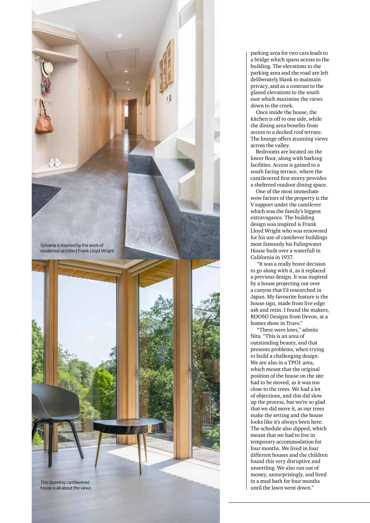

parking area for two cars leads to a bridge which spans across to the building. The elevations to the parking area and the road are left deliberately blank to maintain privacy, and as a contrast to the glazed elevations to the south east which maximise the views down to the creek.

Once inside the house, the kitchen is off to one side, while the dining area benefits from access to a decked roof terrace. The lounge offers stunning views across the valley.

Bedrooms are located on the lower floor, along with bathing facilities. Access is gained to a south facing terrace, where the cantilevered first storey provides a sheltered outdoor dining space.

One of the most immediate wow factors of the property is the V support under the cantilever which was the family's biggest extravagance. The building design was inspired is Frank Lloyd Wright who was renowned for his use of cantilever buildings most famously his Falingwater House built over a waterfall in California in 1937.

 "It was a really brave decision to go along with it, as it replaced a previous design. It was inspired by a house projecting out over a canyon that I'd researched in Japan. My favourite feature is the house sign, made from live edge ash and resin. I found the makers, ROOSO Designs from Devon, at a homes show in Truro."

 "There were lows," admits Nita. "This is an area of outstanding beauty, and that presents problems, when trying to build a challenging design. We are also in a TPO1 area, which meant that the original position of the house on the site had to be moved, as it was too close to the trees. We had a lot of objections, and this did slow up the process, but we're so glad that we did move it, as our trees make the setting and the house looks like it's always been here. The schedule also slipped, which meant that we had to live in temporary accommodation for four months. We lived in four different houses and the children found this very disruptive and unsettling. We also ran out of money, unsurprisingly, and lived in a mud bath for four months until the lawn went down."